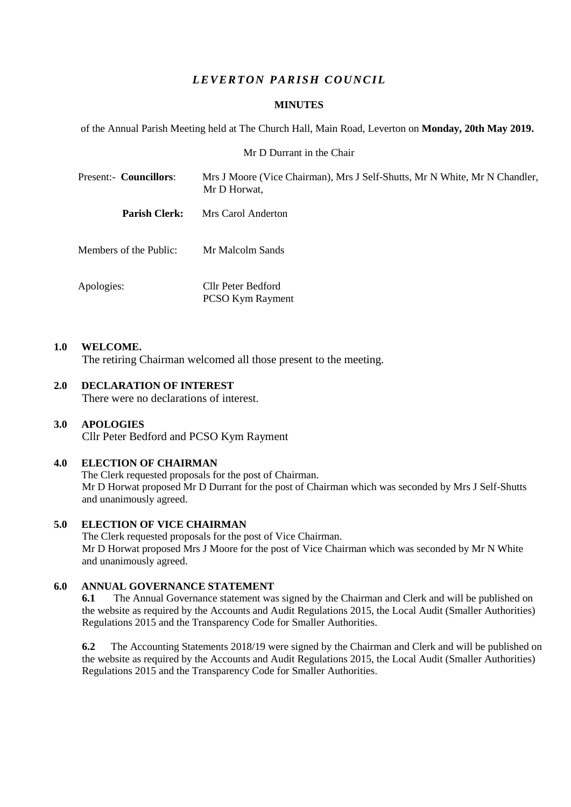# *L E VER T ON PARISH C OU NC IL*

## **MINUTES**

of the Annual Parish Meeting held at The Church Hall, Main Road, Leverton on **Monday, 20th May 2019.**

## Mr D Durrant in the Chair

| Present:- Councillors: | Mrs J Moore (Vice Chairman), Mrs J Self-Shutts, Mr N White, Mr N Chandler,<br>Mr D Horwat, |  |  |  |
|------------------------|--------------------------------------------------------------------------------------------|--|--|--|
| <b>Parish Clerk:</b>   | Mrs Carol Anderton                                                                         |  |  |  |
| Members of the Public: | Mr Malcolm Sands                                                                           |  |  |  |
| Apologies:             | Cllr Peter Bedford<br><b>PCSO Kym Rayment</b>                                              |  |  |  |

## **1.0 WELCOME.**

The retiring Chairman welcomed all those present to the meeting.

# **2.0 DECLARATION OF INTEREST**

There were no declarations of interest.

## **3.0 APOLOGIES**

Cllr Peter Bedford and PCSO Kym Rayment

## **4.0 ELECTION OF CHAIRMAN**

The Clerk requested proposals for the post of Chairman. Mr D Horwat proposed Mr D Durrant for the post of Chairman which was seconded by Mrs J Self-Shutts and unanimously agreed.

## **5.0 ELECTION OF VICE CHAIRMAN**

The Clerk requested proposals for the post of Vice Chairman. Mr D Horwat proposed Mrs J Moore for the post of Vice Chairman which was seconded by Mr N White and unanimously agreed.

## **6.0 ANNUAL GOVERNANCE STATEMENT**

**6.1** The Annual Governance statement was signed by the Chairman and Clerk and will be published on the website as required by the Accounts and Audit Regulations 2015, the Local Audit (Smaller Authorities) Regulations 2015 and the Transparency Code for Smaller Authorities.

**6.2** The Accounting Statements 2018/19 were signed by the Chairman and Clerk and will be published on the website as required by the Accounts and Audit Regulations 2015, the Local Audit (Smaller Authorities) Regulations 2015 and the Transparency Code for Smaller Authorities.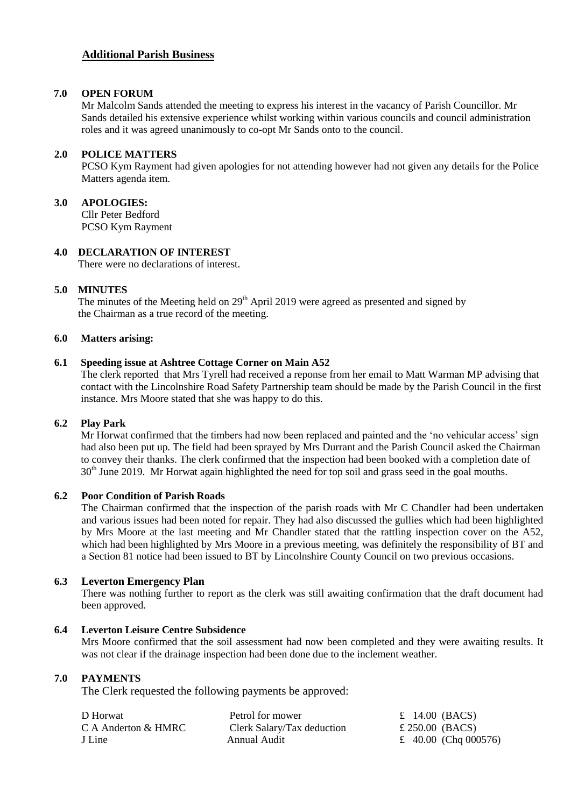## **Additional Parish Business**

## **7.0 OPEN FORUM**

Mr Malcolm Sands attended the meeting to express his interest in the vacancy of Parish Councillor. Mr Sands detailed his extensive experience whilst working within various councils and council administration roles and it was agreed unanimously to co-opt Mr Sands onto to the council.

## **2.0 POLICE MATTERS**

PCSO Kym Rayment had given apologies for not attending however had not given any details for the Police Matters agenda item.

**3.0 APOLOGIES:** Cllr Peter Bedford PCSO Kym Rayment

## **4.0 DECLARATION OF INTEREST**

There were no declarations of interest.

## **5.0 MINUTES**

The minutes of the Meeting held on  $29<sup>th</sup>$  April 2019 were agreed as presented and signed by the Chairman as a true record of the meeting.

#### **6.0 Matters arising:**

### **6.1 Speeding issue at Ashtree Cottage Corner on Main A52**

The clerk reported that Mrs Tyrell had received a reponse from her email to Matt Warman MP advising that contact with the Lincolnshire Road Safety Partnership team should be made by the Parish Council in the first instance. Mrs Moore stated that she was happy to do this.

## **6.2 Play Park**

Mr Horwat confirmed that the timbers had now been replaced and painted and the 'no vehicular access' sign had also been put up. The field had been sprayed by Mrs Durrant and the Parish Council asked the Chairman to convey their thanks. The clerk confirmed that the inspection had been booked with a completion date of  $30<sup>th</sup>$  June 2019. Mr Horwat again highlighted the need for top soil and grass seed in the goal mouths.

## **6.2 Poor Condition of Parish Roads**

The Chairman confirmed that the inspection of the parish roads with Mr C Chandler had been undertaken and various issues had been noted for repair. They had also discussed the gullies which had been highlighted by Mrs Moore at the last meeting and Mr Chandler stated that the rattling inspection cover on the A52, which had been highlighted by Mrs Moore in a previous meeting, was definitely the responsibility of BT and a Section 81 notice had been issued to BT by Lincolnshire County Council on two previous occasions.

## **6.3 Leverton Emergency Plan**

There was nothing further to report as the clerk was still awaiting confirmation that the draft document had been approved.

#### **6.4 Leverton Leisure Centre Subsidence**

Mrs Moore confirmed that the soil assessment had now been completed and they were awaiting results. It was not clear if the drainage inspection had been done due to the inclement weather.

### **7.0 PAYMENTS**

The Clerk requested the following payments be approved:

| D Horwat            | Petrol for mower           |  | $\pounds$ 14.00 (BACS) |
|---------------------|----------------------------|--|------------------------|
| C A Anderton & HMRC | Clerk Salary/Tax deduction |  | £ 250.00 (BACS)        |
| J Line              | Annual Audit               |  | £ 40.00 (Chq 000576)   |